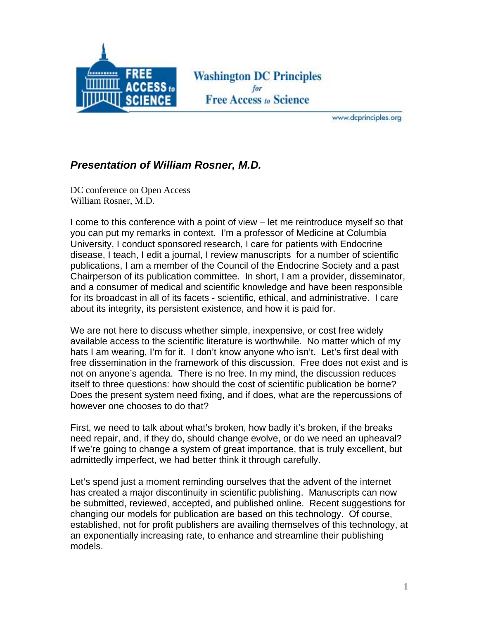

**Washington DC Principles Free Access to Science** 

www.dcprinciples.org

## *Presentation of William Rosner, M.D.*

DC conference on Open Access William Rosner, M.D.

I come to this conference with a point of view – let me reintroduce myself so that you can put my remarks in context. I'm a professor of Medicine at Columbia University, I conduct sponsored research, I care for patients with Endocrine disease, I teach, I edit a journal, I review manuscripts for a number of scientific publications, I am a member of the Council of the Endocrine Society and a past Chairperson of its publication committee. In short, I am a provider, disseminator, and a consumer of medical and scientific knowledge and have been responsible for its broadcast in all of its facets - scientific, ethical, and administrative. I care about its integrity, its persistent existence, and how it is paid for.

We are not here to discuss whether simple, inexpensive, or cost free widely available access to the scientific literature is worthwhile. No matter which of my hats I am wearing, I'm for it. I don't know anyone who isn't. Let's first deal with free dissemination in the framework of this discussion. Free does not exist and is not on anyone's agenda. There is no free. In my mind, the discussion reduces itself to three questions: how should the cost of scientific publication be borne? Does the present system need fixing, and if does, what are the repercussions of however one chooses to do that?

First, we need to talk about what's broken, how badly it's broken, if the breaks need repair, and, if they do, should change evolve, or do we need an upheaval? If we're going to change a system of great importance, that is truly excellent, but admittedly imperfect, we had better think it through carefully.

Let's spend just a moment reminding ourselves that the advent of the internet has created a major discontinuity in scientific publishing. Manuscripts can now be submitted, reviewed, accepted, and published online. Recent suggestions for changing our models for publication are based on this technology. Of course, established, not for profit publishers are availing themselves of this technology, at an exponentially increasing rate, to enhance and streamline their publishing models.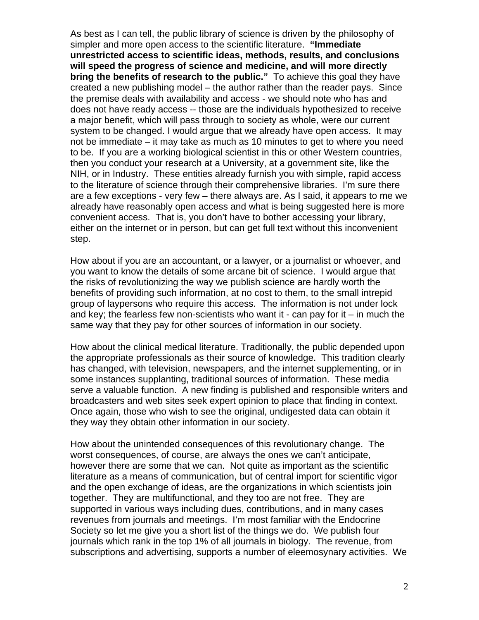As best as I can tell, the public library of science is driven by the philosophy of simpler and more open access to the scientific literature. **"Immediate unrestricted access to scientific ideas, methods, results, and conclusions will speed the progress of science and medicine, and will more directly bring the benefits of research to the public."** To achieve this goal they have created a new publishing model – the author rather than the reader pays. Since the premise deals with availability and access - we should note who has and does not have ready access -- those are the individuals hypothesized to receive a major benefit, which will pass through to society as whole, were our current system to be changed. I would argue that we already have open access. It may not be immediate – it may take as much as 10 minutes to get to where you need to be. If you are a working biological scientist in this or other Western countries, then you conduct your research at a University, at a government site, like the NIH, or in Industry. These entities already furnish you with simple, rapid access to the literature of science through their comprehensive libraries. I'm sure there are a few exceptions - very few – there always are. As I said, it appears to me we already have reasonably open access and what is being suggested here is more convenient access. That is, you don't have to bother accessing your library, either on the internet or in person, but can get full text without this inconvenient step.

How about if you are an accountant, or a lawyer, or a journalist or whoever, and you want to know the details of some arcane bit of science. I would argue that the risks of revolutionizing the way we publish science are hardly worth the benefits of providing such information, at no cost to them, to the small intrepid group of laypersons who require this access. The information is not under lock and key; the fearless few non-scientists who want it  $\overline{\phantom{a}}$  can pay for it  $\overline{\phantom{a}}$  in much the same way that they pay for other sources of information in our society.

How about the clinical medical literature. Traditionally, the public depended upon the appropriate professionals as their source of knowledge. This tradition clearly has changed, with television, newspapers, and the internet supplementing, or in some instances supplanting, traditional sources of information. These media serve a valuable function. A new finding is published and responsible writers and broadcasters and web sites seek expert opinion to place that finding in context. Once again, those who wish to see the original, undigested data can obtain it they way they obtain other information in our society.

How about the unintended consequences of this revolutionary change. The worst consequences, of course, are always the ones we can't anticipate, however there are some that we can. Not quite as important as the scientific literature as a means of communication, but of central import for scientific vigor and the open exchange of ideas, are the organizations in which scientists join together. They are multifunctional, and they too are not free. They are supported in various ways including dues, contributions, and in many cases revenues from journals and meetings. I'm most familiar with the Endocrine Society so let me give you a short list of the things we do. We publish four journals which rank in the top 1% of all journals in biology. The revenue, from subscriptions and advertising, supports a number of eleemosynary activities. We